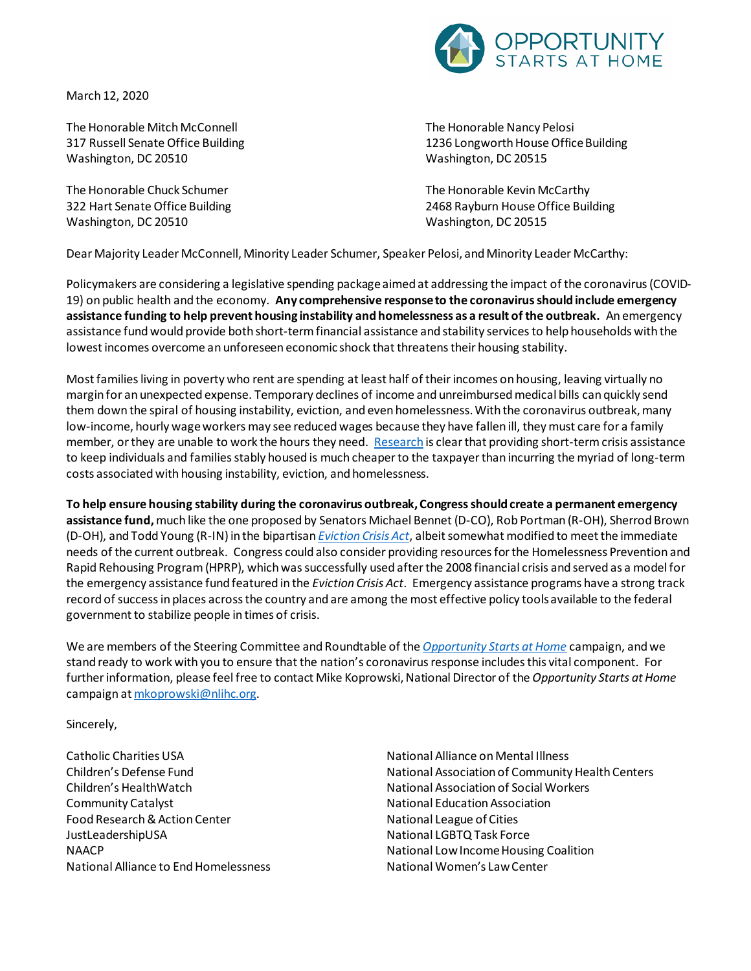

March 12, 2020

The Honorable Mitch McConnell 317 Russell Senate Office Building Washington, DC 20510

The Honorable Chuck Schumer 322 Hart Senate Office Building Washington, DC 20510

The Honorable Nancy Pelosi 1236 Longworth House Office Building Washington, DC 20515

The Honorable Kevin McCarthy 2468 Rayburn House Office Building Washington, DC 20515

Dear Majority Leader McConnell, Minority Leader Schumer, Speaker Pelosi, and Minority Leader McCarthy:

Policymakers are considering a legislative spending package aimed at addressing the impact of the coronavirus (COVID-19) on public health and the economy. **Any comprehensive response to the coronavirus should include emergency assistance funding to help prevent housing instability and homelessness as a result of the outbreak.** An emergency assistance fund would provide both short-term financial assistance and stability servicesto help households with the lowest incomes overcome an unforeseen economic shock that threatens their housing stability.

Most families living in poverty who rent are spending at least half of their incomes on housing, leaving virtually no margin for an unexpected expense. Temporary declines of income and unreimbursed medical bills can quickly send them down the spiral of housing instability, eviction, and even homelessness. With the coronavirus outbreak, many low-income, hourly wage workers may see reduced wages because they have fallen ill, they must care for a family member, or they are unable to work the hours they need. [Research](https://www.opportunityhome.org/wp-content/uploads/2019/12/Emergency-Assistance-Fund-Fact-Sheet-FINAL.pdf) is clear that providing short-term crisis assistance to keep individuals and families stably housed is much cheaper to the taxpayer than incurring the myriad of long-term costs associated with housing instability, eviction, and homelessness.

**To help ensure housing stability during the coronavirus outbreak, Congressshould create a permanent emergency assistance fund,** much like the one proposed by Senators Michael Bennet (D-CO), Rob Portman (R-OH), Sherrod Brown (D-OH), and Todd Young (R-IN) in the bipartisan *[Eviction Crisis Act](https://www.opportunityhome.org/campaigns-statement-on-the-introduction-of-the-eviction-crisis-act-of-2019/)*, albeit somewhat modified to meet the immediate needs of the current outbreak. Congress could also consider providing resources for the Homelessness Prevention and Rapid Rehousing Program (HPRP), which was successfully used afterthe 2008 financial crisis and served as a model for the emergency assistance fund featured in the *Eviction Crisis Act*. Emergency assistance programs have a strong track record of success in places across the country and are among the most effective policy tools available to the federal government to stabilize people in times of crisis.

We are members of the Steering Committee and Roundtable of the *[Opportunity Starts at Home](http://www.opportunityhome.org/)* campaign, and we stand ready to work with you to ensure that the nation's coronavirus response includes this vital component. For further information, please feel free to contact Mike Koprowski, National Director of the *Opportunity Starts at Home* campaign a[t mkoprowski@nlihc.org](mailto:mkoprowski@nlihc.org).

Sincerely,

Catholic Charities USA Children's Defense Fund Children's HealthWatch Community Catalyst Food Research & Action Center JustLeadershipUSA NAACP National Alliance to End Homelessness National Alliance on Mental Illness National Association of Community Health Centers National Association of Social Workers National Education Association National League of Cities National LGBTQ Task Force National Low Income Housing Coalition National Women's Law Center